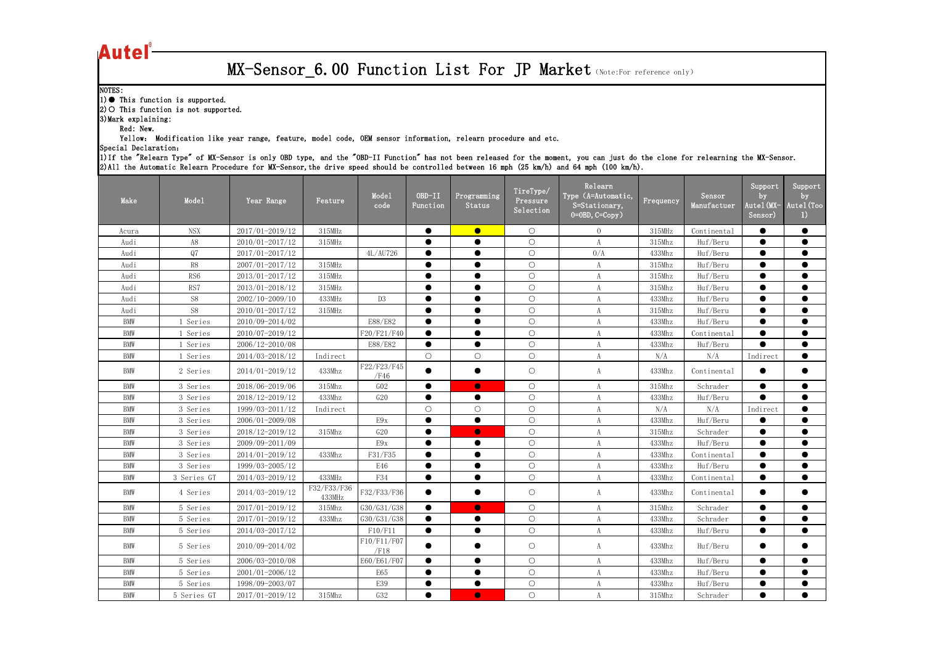| Autel                                                              |                                                                              |                                                                                                               |                       |                     |                    |                       |                                    |                                                                                                                                                                                                                                                                                                                               |           |                       |                                        |                                         |
|--------------------------------------------------------------------|------------------------------------------------------------------------------|---------------------------------------------------------------------------------------------------------------|-----------------------|---------------------|--------------------|-----------------------|------------------------------------|-------------------------------------------------------------------------------------------------------------------------------------------------------------------------------------------------------------------------------------------------------------------------------------------------------------------------------|-----------|-----------------------|----------------------------------------|-----------------------------------------|
|                                                                    |                                                                              |                                                                                                               |                       |                     |                    |                       |                                    | MX-Sensor 6.00 Function List For JP Market (Note:For reference only)                                                                                                                                                                                                                                                          |           |                       |                                        |                                         |
| NOTES:<br>3) Mark explaining:<br>Red: New.<br>Special Declaration: | $(1)$ This function is supported.<br>$ 2)$ O This function is not supported. | Yellow: Modification like year range, feature, model code, OEM sensor information, relearn procedure and etc. |                       |                     |                    |                       |                                    | 1) If the "Relearn Type" of MX-Sensor is only OBD type, and the "OBD-II Function" has not been released for the moment, you can just do the clone for relearning the MX-Sensor.<br>2) All the Automatic Relearn Procedure for MX-Sensor, the drive speed should be controlled between 16 mph (25 km/h) and 64 mph (100 km/h). |           |                       |                                        |                                         |
| Make                                                               | Mode1                                                                        | Year Range                                                                                                    | Feature               | Mode1<br>code       | OBD-II<br>Function | Programming<br>Status | TireType/<br>Pressure<br>Selection | Relearn<br>Type (A=Automatic,<br>S=Stationary,<br>$0=0$ BD, $C=Copy$ )                                                                                                                                                                                                                                                        | Frequency | Sensor<br>Manufactuer | Support<br>by<br>Autel (MX-<br>Sensor) | Support<br>by<br>Autel (Too<br>$\bf{D}$ |
| Acura                                                              | <b>NSX</b>                                                                   | 2017/01-2019/12                                                                                               | 315MHz                |                     |                    | $\bullet$             | $\bigcirc$                         | $\Omega$                                                                                                                                                                                                                                                                                                                      | 315MHz    | Continental           |                                        |                                         |
| Audi                                                               | A8                                                                           | 2010/01-2017/12                                                                                               | 315MHz                |                     | $\bullet$          |                       | $\bigcirc$                         | $\boldsymbol{A}$                                                                                                                                                                                                                                                                                                              | 315Mhz    | Huf/Beru              | $\bullet$                              |                                         |
| Audi                                                               | Q7                                                                           | 2017/01-2017/12                                                                                               |                       | 4L/AU726            | $\bullet$          |                       | $\bigcirc$                         | 0/A                                                                                                                                                                                                                                                                                                                           | 433Mhz    | Huf/Beru              |                                        |                                         |
| Audi                                                               | R8                                                                           | 2007/01-2017/12                                                                                               | 315MHz                |                     | $\bullet$          | $\bullet$             | $\bigcirc$                         | A                                                                                                                                                                                                                                                                                                                             | 315Mhz    | Huf/Beru              | $\bullet$                              | $\bullet$                               |
| Audi                                                               | RS <sub>6</sub>                                                              | $2013/01 - 2017/12$                                                                                           | 315MHz                |                     |                    |                       | $\bigcirc$                         |                                                                                                                                                                                                                                                                                                                               | 315Mhz    | Huf/Beru              | $\bullet$                              |                                         |
| Audi                                                               | RS7                                                                          | 2013/01-2018/12                                                                                               | 315MHz                |                     | $\bullet$          | $\bullet$             | $\bigcirc$                         | A                                                                                                                                                                                                                                                                                                                             | 315Mhz    | Huf/Beru              | $\bullet$                              | $\bullet$                               |
| Audi                                                               | S8                                                                           | 2002/10-2009/10                                                                                               | 433MHz                | D <sub>3</sub>      |                    |                       | $\bigcirc$                         | A                                                                                                                                                                                                                                                                                                                             | 433Mhz    | Huf/Beru              | $\bullet$                              |                                         |
| Audi                                                               | S8                                                                           | 2010/01-2017/12                                                                                               | $315$ M $Hz$          |                     |                    | $\bullet$             | $\bigcirc$                         |                                                                                                                                                                                                                                                                                                                               | 315Mhz    | Huf/Beru              | $\bullet$                              |                                         |
| <b>BMW</b>                                                         | Series                                                                       | 2010/09-2014/02                                                                                               |                       | E88/E82             |                    |                       | $\bigcirc$                         |                                                                                                                                                                                                                                                                                                                               | 433Mhz    | Huf/Beru              | $\bullet$                              |                                         |
| BMW                                                                | Series                                                                       | 2010/07-2019/12                                                                                               |                       | F20/F21/F40         | $\bullet$          |                       | $\bigcirc$                         | A                                                                                                                                                                                                                                                                                                                             | 433Mhz    | Continental           |                                        |                                         |
| <b>BMW</b>                                                         | Series                                                                       | 2006/12-2010/08                                                                                               |                       | E88/E82             | $\bullet$          | $\bullet$             | $\bigcirc$                         | A                                                                                                                                                                                                                                                                                                                             | 433Mhz    | Huf/Beru              | $\bullet$                              | $\bullet$                               |
| BMW                                                                | Series                                                                       | 2014/03-2018/12                                                                                               | Indirect              |                     | $\bigcirc$         | $\bigcirc$            | $\bigcirc$                         | A                                                                                                                                                                                                                                                                                                                             | N/A       | N/A                   | Indirect                               |                                         |
| BMW                                                                | 2 Series                                                                     | 2014/01-2019/12                                                                                               | 433Mhz                | F22/F23/F45<br>/F46 |                    |                       | $\bigcirc$                         | A                                                                                                                                                                                                                                                                                                                             | 433Mhz    | Continental           |                                        |                                         |
| BMW                                                                | 3 Series                                                                     | 2018/06-2019/06                                                                                               | 315Mhz                | GO2                 | $\bullet$          | $\bullet$             | $\bigcirc$                         | A                                                                                                                                                                                                                                                                                                                             | 315Mhz    | Schrader              | $\bullet$                              |                                         |
| <b>BMW</b>                                                         | 3 Series                                                                     | 2018/12-2019/12                                                                                               | 433Mhz                | G20                 |                    | $\bullet$             | $\bigcirc$                         | A                                                                                                                                                                                                                                                                                                                             | 433Mhz    | Huf/Beru              | $\bullet$                              |                                         |
| <b>BMW</b>                                                         | 3 Series                                                                     | 1999/03-2011/12                                                                                               | Indirect              |                     | $\bigcirc$         | $\circ$               | $\bigcirc$                         | A                                                                                                                                                                                                                                                                                                                             | N/A       | N/A                   | Indirect                               | $\bullet$                               |
| <b>BMW</b>                                                         | 3 Series                                                                     | 2006/01-2009/08                                                                                               |                       | E9x                 | $\bullet$          | $\bullet$             | $\bigcirc$                         | $\boldsymbol{A}$                                                                                                                                                                                                                                                                                                              | 433Mhz    | Huf/Beru              | $\bullet$                              |                                         |
| <b>BMW</b>                                                         | 3 Series                                                                     | 2018/12-2019/12                                                                                               | 315Mhz                | G20                 |                    | $\bullet$             | $\bigcirc$                         | A                                                                                                                                                                                                                                                                                                                             | 315Mhz    | Schrader              | $\bullet$                              |                                         |
| <b>BMW</b>                                                         | 3 Series                                                                     | 2009/09-2011/09                                                                                               |                       | E9x                 |                    | $\bullet$             | $\bigcirc$                         | A                                                                                                                                                                                                                                                                                                                             | 433Mhz    | Huf/Beru              | $\bullet$                              |                                         |
| <b>BMW</b>                                                         | 3 Series                                                                     | 2014/01-2019/12                                                                                               | 433Mhz                | F31/F35             | $\bullet$          | $\bullet$             | $\bigcirc$                         | A                                                                                                                                                                                                                                                                                                                             | 433Mhz    | Continental           |                                        |                                         |
| <b>BMW</b>                                                         | 3 Series                                                                     | 1999/03-2005/12                                                                                               |                       | E46                 | $\bullet$          | $\bullet$             | $\bigcirc$                         | $\boldsymbol{A}$                                                                                                                                                                                                                                                                                                              | 433Mhz    | Huf/Beru              | $\bullet$                              | $\bullet$                               |
| <b>BMW</b>                                                         | 3 Series GT                                                                  | $2014/03 - 2019/12$                                                                                           | 433MHz                | F34                 | $\bullet$          |                       | $\bigcirc$                         | A                                                                                                                                                                                                                                                                                                                             | 433Mhz    | Continental           |                                        |                                         |
| BMW                                                                | 4 Series                                                                     | 2014/03-2019/12                                                                                               | F32/F33/F36<br>433MHz | F32/F33/F36         | $\bullet$          |                       | $\bigcirc$                         | A                                                                                                                                                                                                                                                                                                                             | 433Mhz    | Continental           | $\bullet$                              |                                         |
| <b>BMW</b>                                                         | 5 Series                                                                     | 2017/01-2019/12                                                                                               | 315Mhz                | G30/G31/G38         | $\bullet$          | $\bullet$             | $\bigcirc$                         | $\boldsymbol{A}$                                                                                                                                                                                                                                                                                                              | 315Mhz    | Schrader              | $\bullet$                              | $\bullet$                               |
| BMW                                                                | 5 Series                                                                     | 2017/01-2019/12                                                                                               | 433Mhz                | G30/G31/G38         |                    |                       | $\bigcirc$                         | A                                                                                                                                                                                                                                                                                                                             | 433Mhz    | Schrader              |                                        |                                         |
| <b>BMW</b>                                                         | 5 Series                                                                     | 2014/03-2017/12                                                                                               |                       | F10/F11             | $\bullet$          | $\bullet$             | $\bigcirc$                         | A                                                                                                                                                                                                                                                                                                                             | 433Mhz    | Huf/Beru              | $\bullet$                              | $\bullet$                               |
| <b>BMW</b>                                                         | 5 Series                                                                     | 2010/09-2014/02                                                                                               |                       | F10/F11/F07<br>/F18 |                    |                       | $\bigcirc$                         | A                                                                                                                                                                                                                                                                                                                             | 433Mhz    | Huf/Beru              | $\bullet$                              |                                         |
| <b>BMW</b>                                                         | 5 Series                                                                     | 2006/03-2010/08                                                                                               |                       | E60/E61/F07         | $\bullet$          |                       | $\bigcirc$                         | A                                                                                                                                                                                                                                                                                                                             | 433Mhz    | Huf/Beru              |                                        |                                         |
| <b>BMW</b>                                                         | 5 Series                                                                     | 2001/01-2006/12                                                                                               |                       | <b>E65</b>          | $\bullet$          | $\bullet$             | $\bigcirc$                         | A                                                                                                                                                                                                                                                                                                                             | 433Mhz    | Huf/Beru              | $\bullet$                              | $\bullet$                               |
| <b>BMW</b>                                                         | 5 Series                                                                     | 1998/09-2003/07                                                                                               |                       | E39                 | $\bullet$          | $\bullet$             | $\bigcirc$                         | A                                                                                                                                                                                                                                                                                                                             | 433Mhz    | Huf/Beru              | $\bullet$                              |                                         |
| <b>BMW</b>                                                         | 5 Series GT                                                                  | 2017/01-2019/12                                                                                               | 315Mhz                | G32                 | $\bullet$          | $\bullet$             | $\bigcirc$                         | $\boldsymbol{A}$                                                                                                                                                                                                                                                                                                              | 315Mhz    | Schrader              | $\bullet$                              | $\bullet$                               |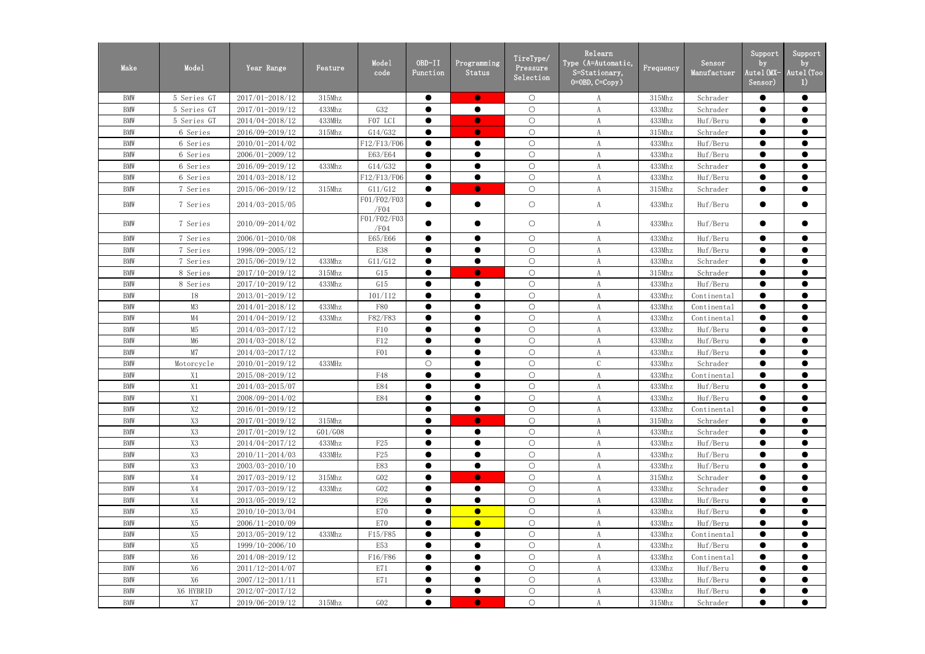| Make       | Mode1          | Year Range          | Feature | Mode1<br>code       | OBD-II<br>Function | Programming<br>Status | TireType/<br>Pressure<br>Selection | Relearn<br>Type (A=Automatic,<br>$S = Stationary$ ,<br>$0=0$ BD, $C=Copy$ ) | Frequency | Sensor<br>Manufactuer | Support<br>by<br>Autel (MX-<br>Sensor) | Support<br>by<br>Autel (Too<br>1) |
|------------|----------------|---------------------|---------|---------------------|--------------------|-----------------------|------------------------------------|-----------------------------------------------------------------------------|-----------|-----------------------|----------------------------------------|-----------------------------------|
| <b>BMW</b> | 5 Series GT    | 2017/01-2018/12     | 315Mhz  |                     | ●                  | $\bullet$             | $\bigcirc$                         | A                                                                           | 315Mhz    | Schrader              | $\bullet$                              | $\bullet$                         |
| <b>BMW</b> | 5 Series GT    | 2017/01-2019/12     | 433Mhz  | G32                 | ●                  | $\bullet$             | $\bigcirc$                         | A                                                                           | 433Mhz    | Schrader              | $\bullet$                              | $\bullet$                         |
| <b>BMW</b> | 5 Series GT    | 2014/04-2018/12     | 433MHz  | F07 LCI             | ●                  | $\bullet$             | $\bigcirc$                         |                                                                             | 433Mhz    | Huf/Beru              | $\bullet$                              | $\bullet$                         |
| <b>BMW</b> | 6 Series       | 2016/09-2019/12     | 315Mhz  | G14/G32             | $\bullet$          | $\bullet$             | $\bigcirc$                         | A                                                                           | 315Mhz    | Schrader              | $\bullet$                              | $\bullet$                         |
| <b>BMW</b> | 6 Series       | 2010/01-2014/02     |         | F12/F13/F06         | $\bullet$          | $\bullet$             | $\bigcirc$                         | A                                                                           | 433Mhz    | Huf/Beru              | $\bullet$                              | $\bullet$                         |
| <b>BMW</b> | 6 Series       | 2006/01-2009/12     |         | E63/E64             |                    |                       | $\bigcirc$                         | A                                                                           | 433Mhz    | Huf/Beru              | $\bullet$                              | $\bullet$                         |
| <b>BMW</b> | 6 Series       | 2016/09-2019/12     | 433Mhz  | G14/G32             | $\bullet$          | $\bullet$             | $\bigcirc$                         | A                                                                           | 433Mhz    | Schrader              | $\bullet$                              | $\bullet$                         |
| <b>BMW</b> | 6 Series       | 2014/03-2018/12     |         | F12/F13/F06         | $\bullet$          | $\bullet$             | $\bigcirc$                         | A                                                                           | 433Mhz    | Huf/Beru              | $\bullet$                              | $\bullet$                         |
| <b>BMW</b> | 7 Series       | 2015/06-2019/12     | 315Mhz  | G11/G12             | $\bullet$          | $\bullet$             | $\bigcirc$                         | A                                                                           | 315Mhz    | Schrader              | $\bullet$                              | $\bullet$                         |
| <b>BMW</b> | 7 Series       | 2014/03-2015/05     |         | F01/F02/F03<br>/F04 |                    | $\bullet$             | $\bigcirc$                         | A                                                                           | 433Mhz    | Huf/Beru              | $\bullet$                              | $\bullet$                         |
| <b>BMW</b> | 7 Series       | 2010/09-2014/02     |         | F01/F02/F03<br>/F04 |                    | $\bullet$             | $\bigcirc$                         | A                                                                           | 433Mhz    | Huf/Beru              | $\bullet$                              | $\bullet$                         |
| <b>BMW</b> | 7 Series       | 2006/01-2010/08     |         | E65/E66             |                    | $\bullet$             | $\bigcirc$                         | A                                                                           | 433Mhz    | Huf/Beru              | $\bullet$                              | $\bullet$                         |
| <b>BMW</b> | 7 Series       | 1998/09-2005/12     |         | E38                 | $\bullet$          | $\bullet$             | $\bigcirc$                         | A                                                                           | 433Mhz    | Huf/Beru              | $\bullet$                              | $\bullet$                         |
| <b>BMW</b> | 7 Series       | 2015/06-2019/12     | 433Mhz  | G11/G12             | ●                  | $\bullet$             | $\bigcirc$                         | A                                                                           | 433Mhz    | Schrader              | $\bullet$                              | $\bullet$                         |
| <b>BMW</b> | 8 Series       | 2017/10-2019/12     | 315Mhz  | G15                 | $\bullet$          | $\bullet$             | $\bigcirc$                         | A                                                                           | 315Mhz    | Schrader              | $\bullet$                              | $\bullet$                         |
| <b>BMW</b> | 8 Series       | 2017/10-2019/12     | 433Mhz  | G15                 | ●                  | $\bullet$             | $\bigcirc$                         | A                                                                           | 433Mhz    | Huf/Beru              | $\bullet$                              | $\bullet$                         |
| <b>BMW</b> | <b>I8</b>      | 2013/01-2019/12     |         | 101/112             | ●                  | $\bullet$             | $\bigcirc$                         | A                                                                           | 433Mhz    | Continental           | $\bullet$                              | $\bullet$                         |
| <b>BMW</b> | M3             | 2014/01-2018/12     | 433Mhz  | <b>F80</b>          | ●                  | $\bullet$             | $\bigcirc$                         | A                                                                           | 433Mhz    | Continental           | $\bullet$                              | $\bullet$                         |
| <b>BMW</b> | M4             | 2014/04-2019/12     | 433Mhz  | F82/F83             |                    |                       | $\bigcirc$                         | A                                                                           | 433Mhz    | Continental           | $\bullet$                              | $\bullet$                         |
| <b>BMW</b> | M5             | 2014/03-2017/12     |         | F10                 | $\bullet$          | $\bullet$             | $\bigcirc$                         | A                                                                           | 433Mhz    | Huf/Beru              | $\bullet$                              | $\bullet$                         |
| <b>BMW</b> | M6             | 2014/03-2018/12     |         | F12                 |                    | $\bullet$             | $\bigcirc$                         | A                                                                           | 433Mhz    | Huf/Beru              | $\bullet$                              | $\bullet$                         |
| <b>BMW</b> | M7             | 2014/03-2017/12     |         | F <sub>01</sub>     | $\bullet$          | $\bullet$             | $\bigcirc$                         | A                                                                           | 433Mhz    | Huf/Beru              | $\bullet$                              | $\bullet$                         |
| <b>BMW</b> | Motorcycle     | 2010/01-2019/12     | 433MHz  |                     | $\bigcirc$         | $\bullet$             | $\bigcirc$                         | $\mathcal{C}$                                                               | 433Mhz    | Schrader              | $\bullet$                              | $\bullet$                         |
| <b>BMW</b> | X1             | 2015/08-2019/12     |         | F48                 | ●                  | $\bullet$             | $\bigcirc$                         | A                                                                           | 433Mhz    | Continental           | ●                                      | $\bullet$                         |
| <b>BMW</b> | X1             | 2014/03-2015/07     |         | E84                 | $\bullet$          | $\bullet$             | $\bigcirc$                         | A                                                                           | 433Mhz    | Huf/Beru              | $\bullet$                              | $\bullet$                         |
| <b>BMW</b> | X1             | 2008/09-2014/02     |         | <b>E84</b>          |                    | $\bullet$             | $\bigcirc$                         | A                                                                           | 433Mhz    | Huf/Beru              | $\bullet$                              | $\bullet$                         |
| <b>BMW</b> | $\mathrm{X}2$  | 2016/01-2019/12     |         |                     |                    | $\bullet$             | $\bigcirc$                         | A                                                                           | 433Mhz    | Continental           | $\bullet$                              | $\bullet$                         |
| <b>BMW</b> | X3             | $2017/01 - 2019/12$ | 315Mhz  |                     |                    | $\bullet$             | $\bigcirc$                         | A                                                                           | 315Mhz    | Schrader              |                                        |                                   |
| <b>BMW</b> | <b>X3</b>      | 2017/01-2019/12     | G01/G08 |                     | $\bullet$          | $\bullet$             | $\bigcirc$                         | A                                                                           | 433Mhz    | Schrader              | $\bullet$                              | $\bullet$                         |
| <b>BMW</b> | X <sub>3</sub> | 2014/04-2017/12     | 433Mhz  | F25                 |                    |                       | $\bigcirc$                         | A                                                                           | 433Mhz    | Huf/Beru              |                                        | $\bullet$                         |
| <b>BMW</b> | <b>X3</b>      | 2010/11-2014/03     | 433MHz  | F <sub>25</sub>     | $\bullet$          | $\bullet$             | $\bigcirc$                         | A                                                                           | 433Mhz    | Huf/Beru              | $\bullet$                              | $\bullet$                         |
| <b>BMW</b> | X3             | 2003/03-2010/10     |         | E83                 | $\bullet$          | $\bullet$             | $\bigcirc$                         | A                                                                           | 433Mhz    | Huf/Beru              | $\bullet$                              | $\bullet$                         |
| <b>BMW</b> | X4             | 2017/03-2019/12     | 315Mhz  | GO2                 | ●                  | $\bullet$             | $\bigcirc$                         | A                                                                           | 315Mhz    | Schrader              | $\bullet$                              | $\bullet$                         |
| <b>BMW</b> | X4             | 2017/03-2019/12     | 433Mhz  | GO2                 | $\bullet$          | $\bullet$             | $\bigcirc$                         | A                                                                           | 433Mhz    | Schrader              | $\bullet$                              | $\bullet$                         |
| <b>BMW</b> | X4             | 2013/05-2019/12     |         | F26                 |                    | $\bullet$             | $\bigcirc$                         | A                                                                           | 433Mhz    | Huf/Beru              |                                        | $\bullet$                         |
| <b>BMW</b> | X5             | 2010/10-2013/04     |         | E70                 |                    | $\bullet$             | $\bigcirc$                         | A                                                                           | 433Mhz    | Huf/Beru              | $\bullet$                              | $\bullet$                         |
| <b>BMW</b> | X5             | 2006/11-2010/09     |         | E70                 |                    | $\bullet$             | $\bigcirc$                         | A                                                                           | 433Mhz    | Huf/Beru              | $\bullet$                              | $\bullet$                         |
| <b>BMW</b> | X5             | 2013/05-2019/12     | 433Mhz  | F15/F85             | $\bullet$          | $\bullet$             | $\bigcirc$                         | A                                                                           | 433Mhz    | Continental           | $\bullet$                              | $\bullet$                         |
| <b>BMW</b> | X5             | 1999/10-2006/10     |         | E53                 |                    |                       | $\bigcirc$                         | A                                                                           | 433Mhz    | Huf/Beru              |                                        |                                   |
| <b>BMW</b> | X6             | 2014/08-2019/12     |         | F16/F86             | $\bullet$          | $\bullet$             | $\bigcirc$                         | A                                                                           | 433Mhz    | Continental           | $\bullet$                              | $\bullet$                         |
| <b>BMW</b> | X6             | $2011/12 - 2014/07$ |         | E71                 | $\bullet$          | $\bullet$             | $\bigcirc$                         | $\boldsymbol{A}$                                                            | 433Mhz    | Huf/Beru              | $\bullet$                              | $\bullet$                         |
| <b>BMW</b> | X6             | 2007/12-2011/11     |         | E71                 | $\bullet$          | $\bullet$             | $\bigcirc$                         | A                                                                           | 433Mhz    | Huf/Beru              | $\bullet$                              | $\bullet$                         |
| <b>BMW</b> | X6 HYBRID      | 2012/07-2017/12     |         |                     | $\bullet$          | $\bullet$             | $\bigcirc$                         | A                                                                           | 433Mhz    | Huf/Beru              | $\bullet$                              | $\bullet$                         |
| BMW        | X7             | 2019/06-2019/12     | 315Mhz  | GO2                 | $\bullet$          | $\bullet$             | $\bigcirc$                         | A                                                                           | 315Mhz    | Schrader              | $\bullet$                              | $\bullet$                         |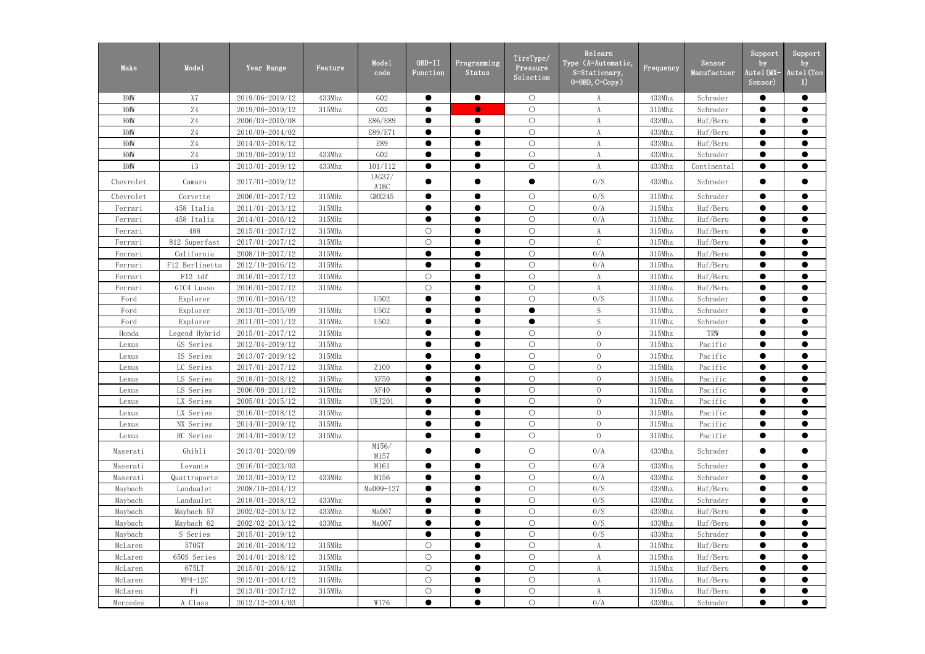| Make       | Mode1                    | Year Range          | Feature      | Mode1<br>code  | OBD-II<br>Function | Programming<br>Status | TireType/<br>Pressure<br>Selection | Relearn<br>Type (A=Automatic,<br>S=Stationary,<br>$0=0$ BD, $C=Copy$ ) | Frequency | Sensor<br>Manufactuer | Support<br>by<br>Autel(MX-<br>Sensor) | Support<br>by<br>Autel (Too<br>$\left( \frac{1}{2} \right)$ |
|------------|--------------------------|---------------------|--------------|----------------|--------------------|-----------------------|------------------------------------|------------------------------------------------------------------------|-----------|-----------------------|---------------------------------------|-------------------------------------------------------------|
| <b>BMW</b> | X7                       | 2019/06-2019/12     | 433Mhz       | GO2            | $\bullet$          | $\bullet$             | $\bigcirc$                         | A                                                                      | 433Mhz    | Schrader              | $\bullet$                             | $\bullet$                                                   |
| <b>BMW</b> | Z4                       | 2019/06-2019/12     | 315Mhz       | GO2            | $\bullet$          | $\bullet$             | $\bigcirc$                         | A                                                                      | 315Mhz    | Schrader              | $\bullet$                             | $\bullet$                                                   |
| <b>BMW</b> | $\ensuremath{\text{Z}}4$ | 2006/03-2010/08     |              | E86/E89        |                    | $\bullet$             | $\bigcirc$                         |                                                                        | 433Mhz    | Huf/Beru              | $\bullet$                             | $\bullet$                                                   |
| <b>BMW</b> | Z4                       | 2010/09-2014/02     |              | E89/E71        |                    | $\bullet$             | $\bigcirc$                         | A                                                                      | 433Mhz    | Huf/Beru              |                                       | $\bullet$                                                   |
| <b>BMW</b> | $\ensuremath{\text{Z}}4$ | 2014/03-2018/12     |              | E89            |                    | $\bullet$             | $\bigcirc$                         | A                                                                      | 433Mhz    | Huf/Beru              | $\bullet$                             | $\bullet$                                                   |
| <b>BMW</b> | Z4                       | 2019/06-2019/12     | 433Mhz       | ${\rm G}02$    |                    | $\bullet$             | $\bigcirc$                         | A                                                                      | 433Mhz    | Schrader              |                                       | $\bullet$                                                   |
| <b>BMW</b> | i3                       | 2013/01-2019/12     | 433Mhz       | 101/112        | $\bullet$          | $\bullet$             | $\bigcirc$                         | A                                                                      | 433Mhz    | Continental           | $\bullet$                             | $\bullet$                                                   |
| Chevrolet  | Camaro                   | 2017/01-2019/12     |              | 1AG37/<br>A1BC |                    |                       | $\bullet$                          | 0/S                                                                    | 433Mhz    | Schrader              | $\bullet$                             | $\bullet$                                                   |
| Chevrolet  | Corvette                 | 2006/01-2017/12     | $315$ MHz    | GMX245         |                    | $\bullet$             | $\bigcirc$                         | 0/S                                                                    | 315Mhz    | Schrader              |                                       | $\bullet$                                                   |
| Ferrari    | 458 Italia               | 2011/01-2013/12     | $315$ MHz    |                | $\bullet$          | $\bullet$             | $\bigcirc$                         | 0/A                                                                    | 315Mhz    | Huf/Beru              | $\bullet$                             | $\bullet$                                                   |
| Ferrari    | 458 Italia               | 2014/01-2016/12     | $315$ MHz    |                |                    |                       | $\bigcirc$                         | 0/A                                                                    | 315Mhz    | Huf/Beru              | $\bullet$                             | $\bullet$                                                   |
| Ferrari    | 488                      | 2015/01-2017/12     | $315$ MHz    |                | $\circ$            | $\bullet$             | $\bigcirc$                         | A                                                                      | 315Mhz    | Huf/Beru              | $\bullet$                             | $\bullet$                                                   |
| Ferrari    | 812 Superfast            | 2017/01-2017/12     | 315MHz       |                | $\bigcirc$         |                       | $\bigcirc$                         | $\mathcal{C}$                                                          | 315Mhz    | Huf/Beru              |                                       | $\bullet$                                                   |
| Ferrari    | California               | 2008/10-2017/12     | $315$ MHz    |                | $\bullet$          | $\bullet$             | $\bigcirc$                         | 0/A                                                                    | 315Mhz    | Huf/Beru              |                                       | $\bullet$                                                   |
| Ferrari    | F12 Berlinetta           | 2012/10-2016/12     | $315$ MHz    |                |                    | $\bullet$             | $\bigcirc$                         | 0/A                                                                    | 315Mhz    | Huf/Beru              | $\bullet$                             | $\bullet$                                                   |
| Ferrari    | F12 tdf                  | 2016/01-2017/12     | $315$ MHz    |                | $\circ$            |                       | $\bigcirc$                         | A                                                                      | 315Mhz    | Huf/Beru              | $\bullet$                             | $\bullet$                                                   |
| Ferrari    | GTC4 Lusso               | 2016/01-2017/12     | $315$ MHz    |                | $\bigcirc$         | $\bullet$             | $\bigcirc$                         | $\boldsymbol{A}$                                                       | 315Mhz    | Huf/Beru              | $\bullet$                             | $\bullet$                                                   |
| Ford       | Explorer                 | 2016/01-2016/12     |              | U502           |                    |                       | $\bigcirc$                         | 0/S                                                                    | 315Mhz    | Schrader              |                                       | $\bullet$                                                   |
| Ford       | Explorer                 | 2013/01-2015/09     | $315$ MHz    | U502           |                    | $\bullet$             | $\bullet$                          | $\mathbf S$                                                            | 315Mhz    | Schrader              | $\bullet$                             | $\bullet$                                                   |
| Ford       | Explorer                 | 2011/01-2011/12     | $315$ MHz    | U502           |                    |                       | $\bullet$                          | $\mathbf S$                                                            | 315Mhz    | Schrader              |                                       | $\bullet$                                                   |
| Honda      | Legend Hybrid            | 2015/01-2017/12     | $315$ MHz    |                |                    | $\bullet$             | $\bigcirc$                         | $\overline{0}$                                                         | 315Mhz    | TRW                   | $\bullet$                             | $\bullet$                                                   |
| Lexus      | GS Series                | 2012/04-2019/12     | 315Mhz       |                |                    | $\bullet$             | $\bigcirc$                         | $\overline{0}$                                                         | 315Mhz    | Pacific               |                                       | $\bullet$                                                   |
| Lexus      | IS Series                | 2013/07-2019/12     | $315$ MHz    |                |                    | $\bullet$             | $\bigcirc$                         | $\overline{0}$                                                         | 315Mhz    | Pacific               |                                       | $\bullet$                                                   |
| Lexus      | LC Series                | 2017/01-2017/12     | 315Mhz       | Z100           |                    |                       | $\bigcirc$                         | $\overline{0}$                                                         | $315$ MHz | Pacific               | $\bullet$                             | $\bullet$                                                   |
| Lexus      | LS Series                | 2018/01-2018/12     | 315Mhz       | XF50           |                    |                       | $\bigcirc$                         | $\overline{0}$                                                         | $315$ MHz | Pacific               |                                       | $\bullet$                                                   |
| Lexus      | LS Series                | 2006/08-2011/12     | 315MHz       | XF40           | $\bullet$          | ▲                     | $\bigcirc$                         | $\overline{0}$                                                         | 315Mhz    | Pacific               | $\bullet$                             | $\bullet$                                                   |
| Lexus      | LX Series                | $2005/01 - 2015/12$ | $315$ M $Hz$ | <b>URJ201</b>  |                    | $\bullet$             | $\bigcirc$                         | $\overline{0}$                                                         | 315Mhz    | Pacific               |                                       | $\bullet$                                                   |
| Lexus      | LX Series                | 2016/01-2018/12     | 315Mhz       |                |                    | $\bullet$             | $\bigcirc$                         | $\overline{0}$                                                         | $315$ MHz | Pacific               | $\bullet$                             | $\bullet$                                                   |
| Lexus      | NX Series                | 2014/01-2019/12     | 315MHz       |                |                    | $\bullet$             | $\bigcirc$                         | $\overline{0}$                                                         | 315Mhz    | Pacific               | $\bullet$                             | $\bullet$                                                   |
| Lexus      | RC Series                | 2014/01-2019/12     | 315Mhz       |                |                    | $\bullet$             | $\bigcirc$                         | $\overline{0}$                                                         | 315Mhz    | Pacific               | $\bullet$                             | $\bullet$                                                   |
| Maserati   | Ghibli                   | 2013/01-2020/09     |              | M156/<br>M157  |                    | $\bullet$             | $\bigcirc$                         | 0/A                                                                    | 433Mhz    | Schrader              | $\bullet$                             | $\bullet$                                                   |
| Maserati   | Levante                  | 2016/01-2023/03     |              | M161           |                    | $\bullet$             | $\bigcirc$                         | 0/A                                                                    | 433Mhz    | Schrader              | $\bullet$                             | $\bullet$                                                   |
| Maserati   | Quattroporte             | 2013/01-2019/12     | 433MHz       | M156           |                    | $\bullet$             | $\bigcirc$                         | 0/A                                                                    | 433Mhz    | Schrader              | $\bullet$                             | $\bullet$                                                   |
| Maybach    | Landaulet                | 2008/10-2014/12     |              | Ma009-127      | $\bullet$          | $\bullet$             | $\bigcirc$                         | 0/S                                                                    | 433Mhz    | Huf/Beru              | $\bullet$                             | $\bullet$                                                   |
| Maybach    | Landaulet                | 2018/01-2018/12     | 433Mhz       |                |                    |                       | $\bigcirc$                         | 0/S                                                                    | 433Mhz    | Schrader              |                                       |                                                             |
| Maybach    | Maybach 57               | 2002/02-2013/12     | 433Mhz       | Ma007          |                    | $\bullet$             | $\bigcirc$                         | 0/S                                                                    | 433Mhz    | Huf/Beru              | $\bullet$                             | $\bullet$                                                   |
| Maybach    | Maybach 62               | 2002/02-2013/12     | 433Mhz       | Ma007          |                    |                       | $\bigcirc$                         | 0/S                                                                    | 433Mhz    | Huf/Beru              |                                       |                                                             |
| Maybach    | S Series                 | 2015/01-2019/12     |              |                | $\bullet$          | $\bullet$             | $\bigcirc$                         | 0/S                                                                    | 433Mhz    | Schrader              | $\bullet$                             | $\bullet$                                                   |
| McLaren    | 570GT                    | 2016/01-2018/12     | 315MHz       |                | $\bigcirc$         |                       | $\bigcirc$                         | A                                                                      | 315Mhz    | Huf/Beru              |                                       |                                                             |
| McLaren    | 650S Series              | 2014/01-2018/12     | 315MHz       |                | $\bigcirc$         | $\bullet$             | $\bigcirc$                         | A                                                                      | 315Mhz    | Huf/Beru              | $\bullet$                             | $\bullet$                                                   |
| McLaren    | 675LT                    | 2015/01-2018/12     | $315$ M $Hz$ |                | $\bigcirc$         | $\bullet$             | $\bigcirc$                         | A                                                                      | 315Mhz    | Huf/Beru              |                                       | $\bullet$                                                   |
| McLaren    | $MP4-12C$                | 2012/01-2014/12     | 315MHz       |                | $\circ$            | $\bullet$             | $\bigcirc$                         | A                                                                      | 315Mhz    | Huf/Beru              | $\bullet$                             | $\bullet$                                                   |
| McLaren    | P1                       | $2013/01 - 2017/12$ | $315$ M $Hz$ |                | $\bigcirc$         | $\bullet$             | $\bigcirc$                         | A                                                                      | 315Mhz    | Huf/Beru              |                                       | $\bullet$                                                   |
| Mercedes   | A Class                  | 2012/12-2014/03     |              | W176           | $\bullet$          | $\bullet$             | $\bigcirc$                         | 0/A                                                                    | 433Mhz    | Schrader              | $\bullet$                             | $\bullet$                                                   |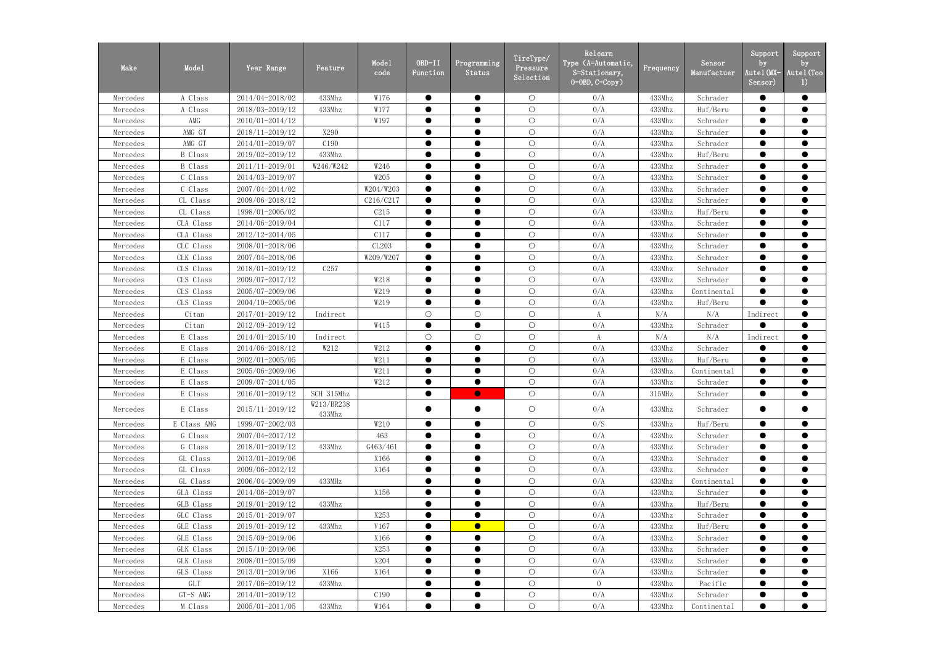| Make     | Mode1          | Year Range          | Feature              | Mode1<br>code | OBD-II<br>Function | Programming<br>Status | TireType/<br>Pressure<br>Selection | Relearn<br>Type (A=Automatic,<br>S=Stationary,<br>$0 = 0$ BD, $C = Copy$ ) | Frequency | Sensor<br>Manufactuer | Support<br>by<br>Autel (MX-<br>Sensor) | Support<br>by<br>Autel (Too<br>1) |
|----------|----------------|---------------------|----------------------|---------------|--------------------|-----------------------|------------------------------------|----------------------------------------------------------------------------|-----------|-----------------------|----------------------------------------|-----------------------------------|
| Mercedes | A Class        | 2014/04-2018/02     | 433Mhz               | W176          | $\bullet$          | $\bullet$             | $\bigcirc$                         | 0/A                                                                        | 433Mhz    | Schrader              | $\bullet$                              | $\bullet$                         |
| Mercedes | A Class        | 2018/03-2019/12     | 433Mhz               | W177          | $\bullet$          | $\bullet$             | $\bigcirc$                         | 0/A                                                                        | 433Mhz    | Huf/Beru              | $\bullet$                              | $\bullet$                         |
| Mercedes | AMG            | 2010/01-2014/12     |                      | W197          | $\bullet$          | $\bullet$             | $\bigcirc$                         | 0/A                                                                        | 433Mhz    | Schrader              | $\bullet$                              | $\bullet$                         |
| Mercedes | AMG GT         | 2018/11-2019/12     | X290                 |               |                    |                       | $\bigcirc$                         | 0/A                                                                        | 433Mhz    | Schrader              | $\bullet$                              | $\bullet$                         |
| Mercedes | AMG GT         | 2014/01-2019/07     | C190                 |               | $\bullet$          | $\bullet$             | $\bigcirc$                         | 0/A                                                                        | 433Mhz    | Schrader              | $\bullet$                              | $\bullet$                         |
| Mercedes | <b>B</b> Class | 2019/02-2019/12     | 433Mhz               |               |                    | $\bullet$             | $\bigcirc$                         | 0/A                                                                        | 433Mhz    | Huf/Beru              | $\bullet$                              | $\bullet$                         |
| Mercedes | <b>B</b> Class | 2011/11-2019/01     | W246/W242            | W246          | $\bullet$          | $\bullet$             | $\bigcirc$                         | 0/A                                                                        | 433Mhz    | Schrader              | $\bullet$                              | $\bullet$                         |
| Mercedes | C Class        | 2014/03-2019/07     |                      | W205          | $\bullet$          | $\bullet$             | $\bigcirc$                         | 0/A                                                                        | 433Mhz    | Schrader              | $\bullet$                              | $\bullet$                         |
| Mercedes | C Class        | 2007/04-2014/02     |                      | W204/W203     | $\bullet$          | $\bullet$             | $\bigcirc$                         | 0/A                                                                        | 433Mhz    | Schrader              | $\bullet$                              | $\bullet$                         |
| Mercedes | CL Class       | 2009/06-2018/12     |                      | C216/C217     | $\bullet$          | $\bullet$             | $\bigcirc$                         | 0/A                                                                        | 433Mhz    | Schrader              | $\bullet$                              | $\bullet$                         |
| Mercedes | CL Class       | 1998/01-2006/02     |                      | C215          | $\bullet$          | $\bullet$             | $\bigcirc$                         | 0/A                                                                        | 433Mhz    | Huf/Beru              | $\bullet$                              | $\bullet$                         |
| Mercedes | CLA Class      | 2014/06-2019/04     |                      | C117          | $\bullet$          | $\bullet$             | $\bigcirc$                         | 0/A                                                                        | 433Mhz    | Schrader              | $\bullet$                              | $\bullet$                         |
| Mercedes | CLA Class      | 2012/12-2014/05     |                      | C117          |                    | $\bullet$             | $\bigcirc$                         | 0/A                                                                        | 433Mhz    | Schrader              | $\bullet$                              | $\bullet$                         |
| Mercedes | CLC Class      | 2008/01-2018/06     |                      | CL203         | $\bullet$          | $\bullet$             | $\bigcirc$                         | 0/A                                                                        | 433Mhz    | Schrader              | $\bullet$                              | $\bullet$                         |
| Mercedes | CLK Class      | 2007/04-2018/06     |                      | W209/W207     |                    |                       | $\bigcirc$                         | 0/A                                                                        | 433Mhz    | Schrader              | $\bullet$                              | $\bullet$                         |
| Mercedes | CLS Class      | 2018/01-2019/12     | C257                 |               | $\bullet$          | $\bullet$             | $\bigcirc$                         | 0/A                                                                        | 433Mhz    | Schrader              | $\bullet$                              | $\bullet$                         |
| Mercedes | CLS Class      | 2009/07-2017/12     |                      | W218          |                    |                       | $\bigcirc$                         | 0/A                                                                        | 433Mhz    | Schrader              | $\bullet$                              | $\bullet$                         |
| Mercedes | CLS Class      | 2005/07-2009/06     |                      | W219          | $\bullet$          | $\bullet$             | $\bigcirc$                         | 0/A                                                                        | 433Mhz    | Continental           | $\bullet$                              | $\bullet$                         |
| Mercedes | CLS Class      | 2004/10-2005/06     |                      | W219          | $\bullet$          | $\bullet$             | $\bigcirc$                         | 0/A                                                                        | 433Mhz    | Huf/Beru              | $\bullet$                              | $\bullet$                         |
| Mercedes | Citan          | 2017/01-2019/12     | Indirect             |               | $\bigcirc$         | $\bigcirc$            | $\bigcirc$                         | A                                                                          | N/A       | N/A                   | Indirect                               | $\bullet$                         |
| Mercedes | Citan          | 2012/09-2019/12     |                      | W415          | $\bullet$          | $\bullet$             | $\bigcirc$                         | 0/A                                                                        | 433Mhz    | Schrader              | $\bullet$                              | $\bullet$                         |
| Mercedes | E Class        | 2014/01-2015/10     | Indirect             |               | $\bigcirc$         | $\bigcirc$            | $\bigcirc$                         | A                                                                          | N/A       | N/A                   | Indirect                               | $\bullet$                         |
| Mercedes | E Class        | 2014/06-2018/12     | W212                 | W212          | $\bullet$          | $\bullet$             | $\bigcirc$                         | 0/A                                                                        | 433Mhz    | Schrader              | $\bullet$                              | $\bullet$                         |
| Mercedes | E Class        | 2002/01-2005/05     |                      | W211          |                    |                       | $\bigcirc$                         | 0/A                                                                        | 433Mhz    | Huf/Beru              | $\bullet$                              | $\bullet$                         |
| Mercedes | E Class        | 2005/06-2009/06     |                      | W211          | ●                  | $\bullet$             | $\bigcirc$                         | 0/A                                                                        | 433Mhz    | Continental           | $\bullet$                              | $\bullet$                         |
| Mercedes | E Class        | 2009/07-2014/05     |                      | W212          | $\bullet$          | $\bullet$             | $\bigcirc$                         | 0/A                                                                        | 433Mhz    | Schrader              | $\bullet$                              | $\bullet$                         |
| Mercedes | E Class        | 2016/01-2019/12     | SCH 315Mhz           |               |                    | $\bullet$             | $\bigcirc$                         | 0/A                                                                        | 315MHz    | Schrader              |                                        |                                   |
| Mercedes | E Class        | 2015/11-2019/12     | W213/BR238<br>433Mhz |               |                    | $\bullet$             | $\bigcirc$                         | 0/A                                                                        | 433Mhz    | Schrader              |                                        | $\bullet$                         |
| Mercedes | E Class AMG    | 1999/07-2002/03     |                      | W210          |                    | $\bullet$             | $\bigcirc$                         | 0/S                                                                        | 433Mhz    | Huf/Beru              |                                        | $\bullet$                         |
| Mercedes | G Class        | 2007/04-2017/12     |                      | 463           | $\bullet$          | $\bullet$             | $\bigcirc$                         | 0/A                                                                        | 433Mhz    | Schrader              |                                        | $\bullet$                         |
| Mercedes | G Class        | 2018/01-2019/12     | 433Mhz               | G463/461      |                    | $\bullet$             | $\bigcirc$                         | 0/A                                                                        | 433Mhz    | Schrader              |                                        | $\bullet$                         |
| Mercedes | GL Class       | 2013/01-2019/06     |                      | X166          |                    | $\bullet$             | $\bigcirc$                         | 0/A                                                                        | 433Mhz    | Schrader              |                                        | $\bullet$                         |
| Mercedes | GL Class       | 2009/06-2012/12     |                      | X164          | $\bullet$          | $\bullet$             | $\bigcirc$                         | 0/A                                                                        | 433Mhz    | Schrader              | $\bullet$                              | $\bullet$                         |
| Mercedes | GL Class       | 2006/04-2009/09     | 433MHz               |               |                    |                       | $\bigcirc$                         | 0/A                                                                        | 433Mhz    | Continental           |                                        | $\bullet$                         |
| Mercedes | GLA Class      | 2014/06-2019/07     |                      | X156          |                    | $\bullet$             | $\bigcirc$                         | 0/A                                                                        | 433Mhz    | Schrader              | $\bullet$                              | $\bullet$                         |
| Mercedes | GLB Class      | 2019/01-2019/12     | 433Mhz               |               |                    | $\bullet$             | $\bigcirc$                         | 0/A                                                                        | 433Mhz    | Huf/Beru              | $\bullet$                              | $\bullet$                         |
| Mercedes | GLC Class      | 2015/01-2019/07     |                      | X253          |                    | $\bullet$             | $\bigcirc$                         | 0/A                                                                        | 433Mhz    | Schrader              | $\bullet$                              | $\bullet$                         |
| Mercedes | GLE Class      | 2019/01-2019/12     | 433Mhz               | V167          |                    | $\bullet$             | $\bigcirc$                         | 0/A                                                                        | 433Mhz    | Huf/Beru              |                                        | $\bullet$                         |
| Mercedes | GLE Class      | 2015/09-2019/06     |                      | X166          |                    | $\bullet$             | $\bigcirc$                         | 0/A                                                                        | 433Mhz    | Schrader              |                                        | $\bullet$                         |
| Mercedes | GLK Class      | 2015/10-2019/06     |                      | X253          |                    | $\bullet$             | $\bigcirc$                         | 0/A                                                                        | 433Mhz    | Schrader              | $\bullet$                              | $\bullet$                         |
| Mercedes | GLK Class      | 2008/01-2015/09     |                      | X204          |                    | $\bullet$             | $\bigcirc$                         | 0/A                                                                        | 433Mhz    | Schrader              | $\bullet$                              | $\bullet$                         |
| Mercedes | GLS Class      | 2013/01-2019/06     | X166                 | X164          | $\bullet$          | $\bullet$             | $\bigcirc$                         | 0/A                                                                        | 433Mhz    | Schrader              | $\bullet$                              | $\bullet$                         |
| Mercedes | GLT            | 2017/06-2019/12     | 433Mhz               |               |                    | $\bullet$             | $\bigcirc$                         | $\overline{0}$                                                             | 433Mhz    | Pacific               |                                        | $\bullet$                         |
| Mercedes | $GT-S$ AMG     | 2014/01-2019/12     |                      | C190          |                    | $\bullet$             | $\bigcirc$                         | 0/A                                                                        | 433Mhz    | Schrader              | $\bullet$                              | $\bullet$                         |
| Mercedes | M Class        | $2005/01 - 2011/05$ | 433Mhz               | W164          | $\bullet$          | $\bullet$             | $\bigcirc$                         | 0/A                                                                        | 433Mhz    | Continental           | $\bullet$                              | $\bullet$                         |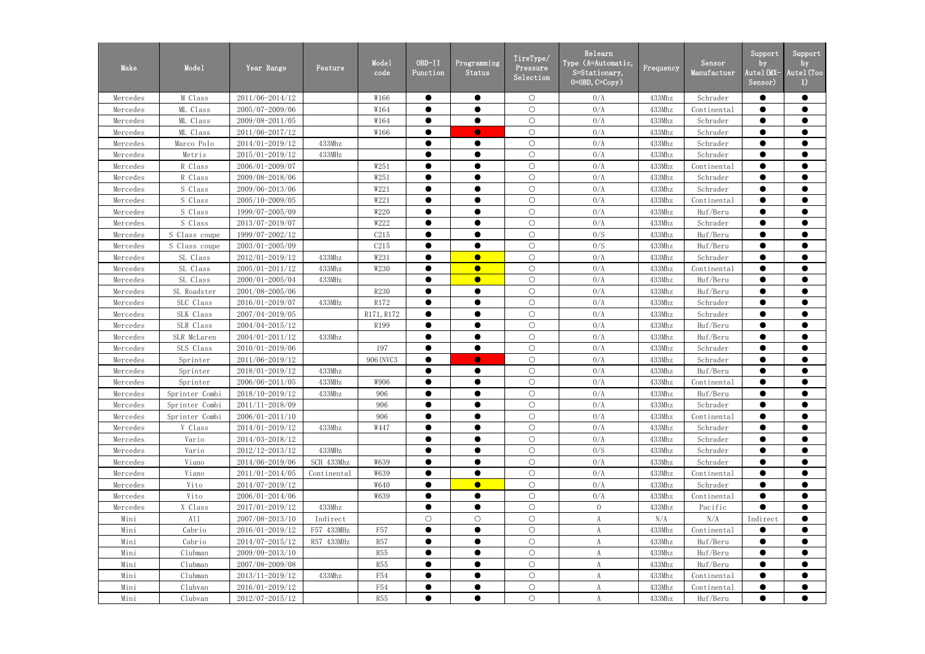| Make     | Mode1          | Year Range          | Feature     | Mode1<br>code | $OBD-II$<br>Function | Programming<br>Status | TireType/<br>Pressure<br>Selection | Relearn<br>Type (A=Automatic,<br>S=Stationary,<br>$0 = 0$ BD, $C = Copy$ ) | Frequency | Sensor<br>Manufactuer | Support<br>by<br>Autel (MX-<br>Sensor) | Support<br>by<br>Autel (Too<br>1) |
|----------|----------------|---------------------|-------------|---------------|----------------------|-----------------------|------------------------------------|----------------------------------------------------------------------------|-----------|-----------------------|----------------------------------------|-----------------------------------|
| Mercedes | M Class        | 2011/06-2014/12     |             | W166          | $\bullet$            | $\bullet$             | $\bigcirc$                         | 0/A                                                                        | 433Mhz    | Schrader              | $\bullet$                              | $\bullet$                         |
| Mercedes | ML Class       | 2005/07-2009/06     |             | W164          | $\bullet$            | $\bullet$             | $\bigcirc$                         | 0/A                                                                        | 433Mhz    | Continental           | $\bullet$                              | $\bullet$                         |
| Mercedes | ML Class       | 2009/08-2011/05     |             | W164          | $\bullet$            | $\bullet$             | $\bigcirc$                         | 0/A                                                                        | 433Mhz    | Schrader              | $\bullet$                              | $\bullet$                         |
| Mercedes | ML Class       | 2011/06-2017/12     |             | W166          |                      | $\bullet$             | $\bigcirc$                         | 0/A                                                                        | 433Mhz    | Schrader              | $\bullet$                              | $\bullet$                         |
| Mercedes | Marco Polo     | 2014/01-2019/12     | 433Mhz      |               | $\bullet$            | $\bullet$             | $\bigcirc$                         | 0/A                                                                        | 433Mhz    | Schrader              | $\bullet$                              | $\bullet$                         |
| Mercedes | Metris         | 2015/01-2019/12     | 433MHz      |               |                      |                       | $\bigcirc$                         | 0/A                                                                        | 433Mhz    | Schrader              | $\bullet$                              | $\bullet$                         |
| Mercedes | R Class        | 2006/01-2009/07     |             | W251          | $\bullet$            | $\bullet$             | $\bigcirc$                         | 0/A                                                                        | 433Mhz    | Continental           | $\bullet$                              | $\bullet$                         |
| Mercedes | R Class        | 2009/08-2018/06     |             | W251          |                      |                       | $\bigcirc$                         | 0/A                                                                        | 433Mhz    | Schrader              | $\bullet$                              | $\bullet$                         |
| Mercedes | S Class        | 2009/06-2013/06     |             | W221          | $\bullet$            | $\bullet$             | $\bigcirc$                         | 0/A                                                                        | 433Mhz    | Schrader              | $\bullet$                              | $\bullet$                         |
| Mercedes | S Class        | 2005/10-2009/05     |             | W221          | $\bullet$            |                       | $\bigcirc$                         | 0/A                                                                        | 433Mhz    | Continental           | $\bullet$                              | $\bullet$                         |
| Mercedes | S Class        | 1999/07-2005/09     |             | W220          | $\bullet$            | $\bullet$             | $\bigcirc$                         | 0/A                                                                        | 433Mhz    | Huf/Beru              | $\bullet$                              | $\bullet$                         |
| Mercedes | S Class        | 2013/07-2019/07     |             | W222          | $\bullet$            | $\bullet$             | $\bigcirc$                         | 0/A                                                                        | 433Mhz    | Schrader              | $\bullet$                              | $\bullet$                         |
| Mercedes | S Class coupe  | 1999/07-2002/12     |             | C215          |                      |                       | $\bigcirc$                         | 0/S                                                                        | 433Mhz    | Huf/Beru              | $\bullet$                              | $\bullet$                         |
| Mercedes | S Class coupe  | 2003/01-2005/09     |             | C215          |                      | $\bullet$             | $\bigcirc$                         | 0/S                                                                        | 433Mhz    | Huf/Beru              | $\bullet$                              | $\bullet$                         |
| Mercedes | SL Class       | 2012/01-2019/12     | 433Mhz      | W231          |                      | $\bullet$             | $\bigcirc$                         | 0/A                                                                        | 433Mhz    | Schrader              | $\bullet$                              | $\bullet$                         |
| Mercedes | SL Class       | 2005/01-2011/12     | 433Mhz      | W230          | $\bullet$            | $\bullet$             | $\bigcirc$                         | 0/A                                                                        | 433Mhz    | Continental           | $\bullet$                              | $\bullet$                         |
| Mercedes | SL Class       | 2000/01-2005/04     | 433MHz      |               |                      | $\bullet$             | $\bigcirc$                         | 0/A                                                                        | 433Mhz    | Huf/Beru              | $\bullet$                              | $\bullet$                         |
| Mercedes | SL Roadster    | 2001/08-2005/06     |             | R230          | $\bullet$            | $\bullet$             | $\bigcirc$                         | 0/A                                                                        | 433Mhz    | Huf/Beru              | $\bullet$                              | $\bullet$                         |
| Mercedes | SLC Class      | 2016/01-2019/07     | 433MHz      | R172          | $\bullet$            | $\bullet$             | $\bigcirc$                         | 0/A                                                                        | 433Mhz    | Schrader              | $\bullet$                              | $\bullet$                         |
| Mercedes | SLK Class      | 2007/04-2019/05     |             | R171, R172    | $\bullet$            | $\bullet$             | $\bigcirc$                         | 0/A                                                                        | 433Mhz    | Schrader              | $\bullet$                              | $\bullet$                         |
| Mercedes | SLR Class      | 2004/04-2015/12     |             | R199          |                      | $\bullet$             | $\bigcirc$                         | 0/A                                                                        | 433Mhz    | Huf/Beru              | $\bullet$                              | $\bullet$                         |
| Mercedes | SLR McLaren    | 2004/01-2011/12     | 433Mhz      |               |                      | $\bullet$             | $\bigcirc$                         | 0/A                                                                        | 433Mhz    | Huf/Beru              | $\bullet$                              | $\bullet$                         |
| Mercedes | SLS Class      | 2010/01-2019/06     |             | 197           | $\bullet$            | $\bullet$             | $\bigcirc$                         | 0/A                                                                        | 433Mhz    | Schrader              | $\bullet$                              | $\bullet$                         |
| Mercedes | Sprinter       | 2011/06-2019/12     |             | 906 (NVC3     |                      | $\bullet$             | $\bigcirc$                         | 0/A                                                                        | 433Mhz    | Schrader              | $\bullet$                              | $\bullet$                         |
| Mercedes | Sprinter       | 2018/01-2019/12     | 433Mhz      |               |                      | $\bullet$             | $\bigcirc$                         | 0/A                                                                        | 433Mhz    | Huf/Beru              | $\bullet$                              | $\bullet$                         |
| Mercedes | Sprinter       | 2006/06-2011/05     | 433MHz      | W906          | $\bullet$            | $\bullet$             | $\bigcirc$                         | 0/A                                                                        | 433Mhz    | Continental           | $\bullet$                              | $\bullet$                         |
| Mercedes | Sprinter Combi | 2018/10-2019/12     | 433Mhz      | 906           |                      | $\bullet$             | $\bigcirc$                         | 0/A                                                                        | 433Mhz    | Huf/Beru              |                                        |                                   |
| Mercedes | Sprinter Combi | 2011/11-2018/09     |             | 906           |                      | $\bullet$             | $\bigcirc$                         | 0/A                                                                        | 433Mhz    | Schrader              |                                        | $\bullet$                         |
| Mercedes | Sprinter Combi | $2006/01 - 2011/10$ |             | 906           |                      |                       | $\bigcirc$                         | 0/A                                                                        | 433Mhz    | Continental           |                                        |                                   |
| Mercedes | V Class        | 2014/01-2019/12     | 433Mhz      | W447          |                      |                       | $\bigcirc$                         | 0/A                                                                        | 433Mhz    | Schrader              |                                        | $\bullet$                         |
| Mercedes | Vario          | 2014/03-2018/12     |             |               |                      |                       | $\bigcirc$                         | 0/A                                                                        | 433Mhz    | Schrader              |                                        |                                   |
| Mercedes | Vario          | 2012/12-2013/12     | 433MHz      |               | $\bullet$            | $\bullet$             | $\bigcirc$                         | 0/S                                                                        | 433Mhz    | Schrader              | $\bullet$                              | $\bullet$                         |
| Mercedes | Viano          | 2014/06-2019/06     | SCH 433Mhz  | W639          |                      | $\bullet$             | $\bigcirc$                         | 0/A                                                                        | 433Mhz    | Schrader              |                                        | $\bullet$                         |
| Mercedes | Viano          | 2011/01-2014/05     | Continental | W639          | $\bullet$            | $\bullet$             | $\bigcirc$                         | 0/A                                                                        | 433Mhz    | Continental           | $\bullet$                              | $\bullet$                         |
| Mercedes | Vito           | 2014/07-2019/12     |             | W640          |                      | $\bullet$             | $\bigcirc$                         | 0/A                                                                        | 433Mhz    | Schrader              | $\bullet$                              | $\bullet$                         |
| Mercedes | Vito           | 2006/01-2014/06     |             | W639          | $\bullet$            | $\bullet$             | $\bigcirc$                         | 0/A                                                                        | 433Mhz    | Continental           | $\bullet$                              | $\bullet$                         |
| Mercedes | X Class        | 2017/01-2019/12     | 433Mhz      |               | $\bullet$            | $\bullet$             | $\bigcirc$                         | $\overline{0}$                                                             | 433Mhz    | Pacific               | $\bullet$                              | $\bullet$                         |
| Mini     | A11            | 2007/08-2013/10     | Indirect    |               | $\bigcirc$           | $\bigcirc$            | $\bigcirc$                         | A                                                                          | N/A       | N/A                   | Indirect                               |                                   |
| Mini     | Cabrio         | 2016/01-2019/12     | F57 433MHz  | <b>F57</b>    | $\bullet$            | $\bullet$             | $\bigcirc$                         | A                                                                          | 433Mhz    | Continental           | $\bullet$                              | $\bullet$                         |
| Mini     | Cabrio         | 2014/07-2015/12     | R57 433MHz  | <b>R57</b>    |                      |                       | $\bigcirc$                         | A                                                                          | 433Mhz    | Huf/Beru              |                                        |                                   |
| Mini     | Clubman        | 2009/09-2013/10     |             | <b>R55</b>    | $\bullet$            | $\bullet$             | $\bigcirc$                         | A                                                                          | 433Mhz    | Huf/Beru              | $\bullet$                              | $\bullet$                         |
| Mini     | Clubman        | 2007/08-2009/08     |             | <b>R55</b>    |                      |                       | $\bigcirc$                         | A                                                                          | 433Mhz    | Huf/Beru              |                                        | $\bullet$                         |
| Mini     | $C1$ ubman     | 2013/11-2019/12     | 433Mhz      | <b>F54</b>    | $\bullet$            | $\bullet$             | $\bigcirc$                         | A                                                                          | 433Mhz    | Continental           | $\bullet$                              | $\bullet$                         |
| Mini     | Clubvan        | 2016/01-2019/12     |             | F54           | $\bullet$            | $\bullet$             | $\bigcirc$                         | A                                                                          | 433Mhz    | Continental           |                                        | $\bullet$                         |
| Mini     | Clubvan        | 2012/07-2015/12     |             | <b>R55</b>    | $\bullet$            | $\bullet$             | $\bigcirc$                         | A                                                                          | 433Mhz    | Huf/Beru              | $\bullet$                              | $\bullet$                         |